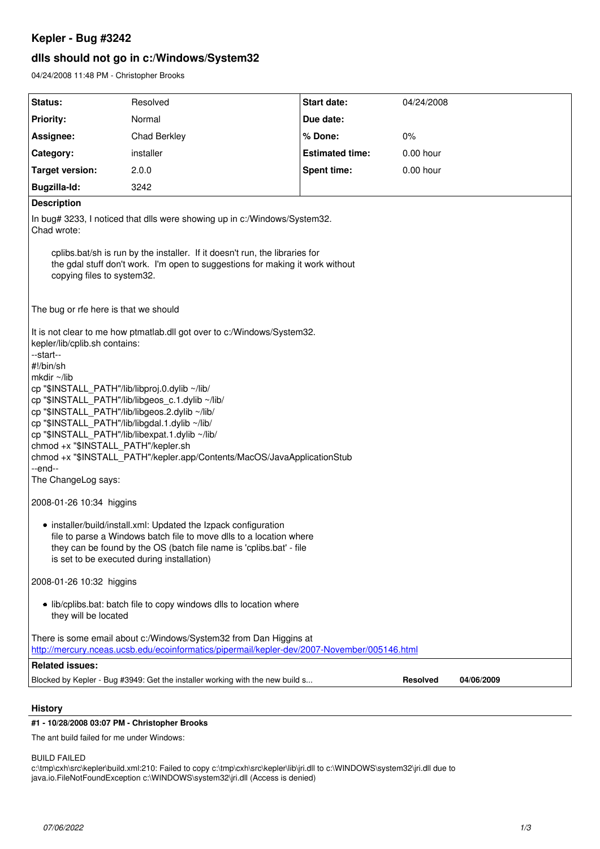# **Kepler - Bug #3242**

# **dlls should not go in c:/Windows/System32**

04/24/2008 11:48 PM - Christopher Brooks

| Status:                                                                                                                                                                                                                                                                                                                                                                                                                                                                                                                                                                                                                                                                                                                                                                                                                                                       | Resolved                                                                      | Start date:            | 04/24/2008  |            |
|---------------------------------------------------------------------------------------------------------------------------------------------------------------------------------------------------------------------------------------------------------------------------------------------------------------------------------------------------------------------------------------------------------------------------------------------------------------------------------------------------------------------------------------------------------------------------------------------------------------------------------------------------------------------------------------------------------------------------------------------------------------------------------------------------------------------------------------------------------------|-------------------------------------------------------------------------------|------------------------|-------------|------------|
| <b>Priority:</b>                                                                                                                                                                                                                                                                                                                                                                                                                                                                                                                                                                                                                                                                                                                                                                                                                                              | Normal                                                                        | Due date:              |             |            |
| Assignee:                                                                                                                                                                                                                                                                                                                                                                                                                                                                                                                                                                                                                                                                                                                                                                                                                                                     | Chad Berkley                                                                  | % Done:                | 0%          |            |
| Category:                                                                                                                                                                                                                                                                                                                                                                                                                                                                                                                                                                                                                                                                                                                                                                                                                                                     | installer                                                                     | <b>Estimated time:</b> | $0.00$ hour |            |
| <b>Target version:</b>                                                                                                                                                                                                                                                                                                                                                                                                                                                                                                                                                                                                                                                                                                                                                                                                                                        | 2.0.0                                                                         | <b>Spent time:</b>     | $0.00$ hour |            |
| Bugzilla-Id:                                                                                                                                                                                                                                                                                                                                                                                                                                                                                                                                                                                                                                                                                                                                                                                                                                                  | 3242                                                                          |                        |             |            |
| <b>Description</b>                                                                                                                                                                                                                                                                                                                                                                                                                                                                                                                                                                                                                                                                                                                                                                                                                                            |                                                                               |                        |             |            |
| In bug# 3233, I noticed that dlls were showing up in c:/Windows/System32.<br>Chad wrote:                                                                                                                                                                                                                                                                                                                                                                                                                                                                                                                                                                                                                                                                                                                                                                      |                                                                               |                        |             |            |
| cplibs bat/sh is run by the installer. If it doesn't run, the libraries for<br>the gdal stuff don't work. I'm open to suggestions for making it work without<br>copying files to system32.                                                                                                                                                                                                                                                                                                                                                                                                                                                                                                                                                                                                                                                                    |                                                                               |                        |             |            |
| The bug or rfe here is that we should                                                                                                                                                                                                                                                                                                                                                                                                                                                                                                                                                                                                                                                                                                                                                                                                                         |                                                                               |                        |             |            |
| It is not clear to me how ptmatlab.dll got over to c:/Windows/System32.<br>kepler/lib/cplib.sh contains:<br>--start--<br>#!/bin/sh<br>mkdir ~/lib<br>cp "\$INSTALL_PATH"/lib/libproj.0.dylib ~/lib/<br>cp "\$INSTALL_PATH"/lib/libgeos_c.1.dylib ~/lib/<br>cp "\$INSTALL_PATH"/lib/libgeos.2.dylib ~/lib/<br>cp "\$INSTALL_PATH"/lib/libgdal.1.dylib ~/lib/<br>cp "\$INSTALL_PATH"/lib/libexpat.1.dylib ~/lib/<br>chmod +x "\$INSTALL PATH"/kepler.sh<br>chmod +x "\$INSTALL_PATH"/kepler.app/Contents/MacOS/JavaApplicationStub<br>--end--<br>The ChangeLog says:<br>2008-01-26 10:34 higgins<br>• installer/build/install.xml: Updated the Izpack configuration<br>file to parse a Windows batch file to move dlls to a location where<br>they can be found by the OS (batch file name is 'cplibs.bat' - file<br>is set to be executed during installation) |                                                                               |                        |             |            |
| 2008-01-26 10:32 higgins                                                                                                                                                                                                                                                                                                                                                                                                                                                                                                                                                                                                                                                                                                                                                                                                                                      |                                                                               |                        |             |            |
| • lib/cplibs.bat: batch file to copy windows dlls to location where<br>they will be located                                                                                                                                                                                                                                                                                                                                                                                                                                                                                                                                                                                                                                                                                                                                                                   |                                                                               |                        |             |            |
| There is some email about c:/Windows/System32 from Dan Higgins at<br>http://mercury.nceas.ucsb.edu/ecoinformatics/pipermail/kepler-dev/2007-November/005146.html                                                                                                                                                                                                                                                                                                                                                                                                                                                                                                                                                                                                                                                                                              |                                                                               |                        |             |            |
| <b>Related issues:</b>                                                                                                                                                                                                                                                                                                                                                                                                                                                                                                                                                                                                                                                                                                                                                                                                                                        |                                                                               |                        |             |            |
|                                                                                                                                                                                                                                                                                                                                                                                                                                                                                                                                                                                                                                                                                                                                                                                                                                                               | Blocked by Kepler - Bug #3949: Get the installer working with the new build s |                        | Resolved    | 04/06/2009 |
|                                                                                                                                                                                                                                                                                                                                                                                                                                                                                                                                                                                                                                                                                                                                                                                                                                                               |                                                                               |                        |             |            |

**History**

# **#1 - 10/28/2008 03:07 PM - Christopher Brooks**

The ant build failed for me under Windows:

BUILD FAILED

c:\tmp\cxh\src\kepler\build.xml:210: Failed to copy c:\tmp\cxh\src\kepler\lib\jri.dll to c:\WINDOWS\system32\jri.dll due to java.io.FileNotFoundException c:\WINDOWS\system32\jri.dll (Access is denied)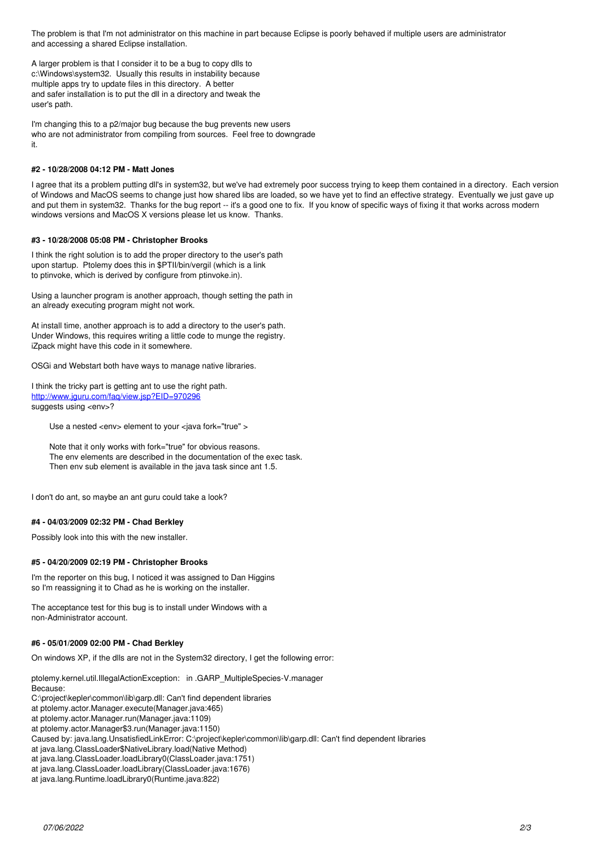The problem is that I'm not administrator on this machine in part because Eclipse is poorly behaved if multiple users are administrator and accessing a shared Eclipse installation.

A larger problem is that I consider it to be a bug to copy dlls to c:\Windows\system32. Usually this results in instability because multiple apps try to update files in this directory. A better and safer installation is to put the dll in a directory and tweak the user's path.

I'm changing this to a p2/major bug because the bug prevents new users who are not administrator from compiling from sources. Feel free to downgrade it.

# **#2 - 10/28/2008 04:12 PM - Matt Jones**

I agree that its a problem putting dll's in system32, but we've had extremely poor success trying to keep them contained in a directory. Each version of Windows and MacOS seems to change just how shared libs are loaded, so we have yet to find an effective strategy. Eventually we just gave up and put them in system32. Thanks for the bug report -- it's a good one to fix. If you know of specific ways of fixing it that works across modern windows versions and MacOS X versions please let us know. Thanks.

# **#3 - 10/28/2008 05:08 PM - Christopher Brooks**

I think the right solution is to add the proper directory to the user's path upon startup. Ptolemy does this in \$PTII/bin/vergil (which is a link to ptinvoke, which is derived by configure from ptinvoke.in).

Using a launcher program is another approach, though setting the path in an already executing program might not work.

At install time, another approach is to add a directory to the user's path. Under Windows, this requires writing a little code to munge the registry. iZpack might have this code in it somewhere.

OSGi and Webstart both have ways to manage native libraries.

I think the tricky part is getting ant to use the right path. <http://www.jguru.com/faq/view.jsp?EID=970296> suggests using <env>?

Use a nested <env> element to your <java fork="true" >

Note that it only works with fork="true" for obvious reasons. The env elements are described in the documentation of the exec task. Then env sub element is available in the java task since ant 1.5.

I don't do ant, so maybe an ant guru could take a look?

### **#4 - 04/03/2009 02:32 PM - Chad Berkley**

Possibly look into this with the new installer.

#### **#5 - 04/20/2009 02:19 PM - Christopher Brooks**

I'm the reporter on this bug, I noticed it was assigned to Dan Higgins so I'm reassigning it to Chad as he is working on the installer.

The acceptance test for this bug is to install under Windows with a non-Administrator account.

#### **#6 - 05/01/2009 02:00 PM - Chad Berkley**

On windows XP, if the dlls are not in the System32 directory, I get the following error:

ptolemy.kernel.util.IllegalActionException: in .GARP\_MultipleSpecies-V.manager

Because:

C:\project\kepler\common\lib\garp.dll: Can't find dependent libraries

at ptolemy.actor.Manager.execute(Manager.java:465)

at ptolemy.actor.Manager.run(Manager.java:1109)

at ptolemy.actor.Manager\$3.run(Manager.java:1150)

Caused by: java.lang.UnsatisfiedLinkError: C:\project\kepler\common\lib\garp.dll: Can't find dependent libraries

at java.lang.ClassLoader\$NativeLibrary.load(Native Method)

at java.lang.ClassLoader.loadLibrary0(ClassLoader.java:1751)

at java.lang.ClassLoader.loadLibrary(ClassLoader.java:1676)

at java.lang.Runtime.loadLibrary0(Runtime.java:822)